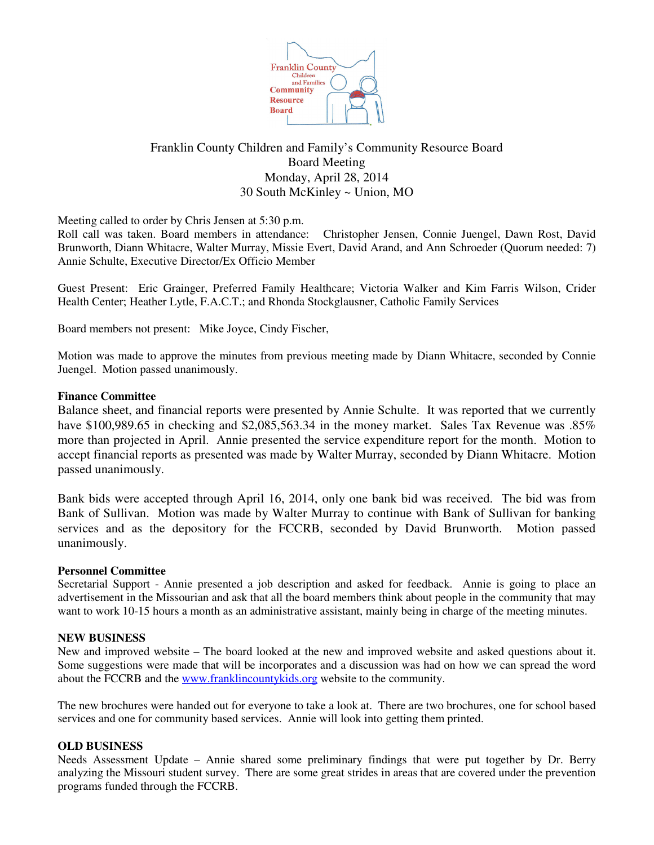

# Franklin County Children and Family's Community Resource Board Board Meeting Monday, April 28, 2014 30 South McKinley ~ Union, MO

Meeting called to order by Chris Jensen at 5:30 p.m.

Roll call was taken. Board members in attendance: Christopher Jensen, Connie Juengel, Dawn Rost, David Brunworth, Diann Whitacre, Walter Murray, Missie Evert, David Arand, and Ann Schroeder (Quorum needed: 7) Annie Schulte, Executive Director/Ex Officio Member

Guest Present: Eric Grainger, Preferred Family Healthcare; Victoria Walker and Kim Farris Wilson, Crider Health Center; Heather Lytle, F.A.C.T.; and Rhonda Stockglausner, Catholic Family Services

Board members not present: Mike Joyce, Cindy Fischer,

Motion was made to approve the minutes from previous meeting made by Diann Whitacre, seconded by Connie Juengel. Motion passed unanimously.

## **Finance Committee**

Balance sheet, and financial reports were presented by Annie Schulte. It was reported that we currently have \$100,989.65 in checking and \$2,085,563.34 in the money market. Sales Tax Revenue was .85% more than projected in April. Annie presented the service expenditure report for the month. Motion to accept financial reports as presented was made by Walter Murray, seconded by Diann Whitacre. Motion passed unanimously.

Bank bids were accepted through April 16, 2014, only one bank bid was received. The bid was from Bank of Sullivan. Motion was made by Walter Murray to continue with Bank of Sullivan for banking services and as the depository for the FCCRB, seconded by David Brunworth. Motion passed unanimously.

## **Personnel Committee**

Secretarial Support - Annie presented a job description and asked for feedback. Annie is going to place an advertisement in the Missourian and ask that all the board members think about people in the community that may want to work 10-15 hours a month as an administrative assistant, mainly being in charge of the meeting minutes.

## **NEW BUSINESS**

New and improved website – The board looked at the new and improved website and asked questions about it. Some suggestions were made that will be incorporates and a discussion was had on how we can spread the word about the FCCRB and the www.franklincountykids.org website to the community.

The new brochures were handed out for everyone to take a look at. There are two brochures, one for school based services and one for community based services. Annie will look into getting them printed.

## **OLD BUSINESS**

Needs Assessment Update – Annie shared some preliminary findings that were put together by Dr. Berry analyzing the Missouri student survey. There are some great strides in areas that are covered under the prevention programs funded through the FCCRB.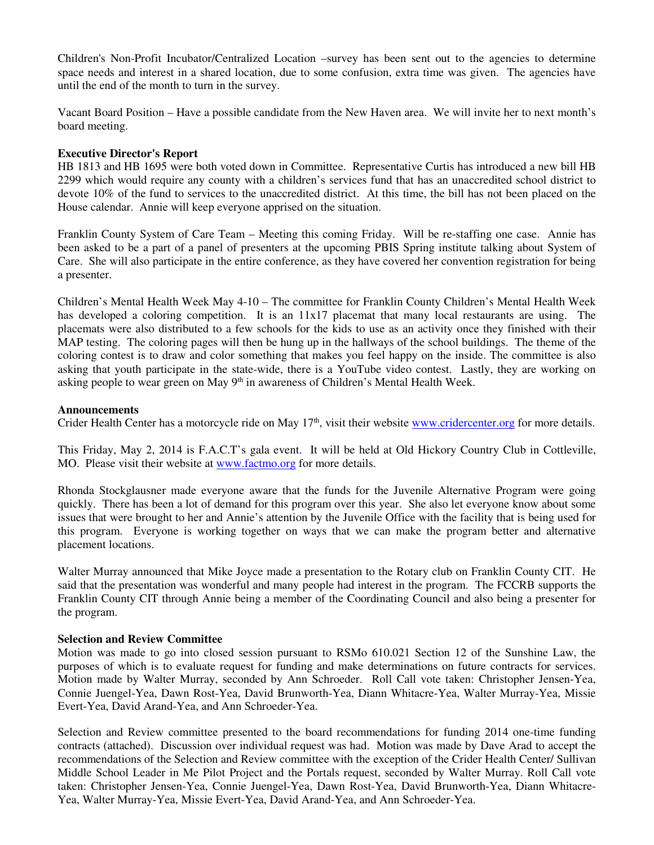Children's Non-Profit Incubator/Centralized Location –survey has been sent out to the agencies to determine space needs and interest in a shared location, due to some confusion, extra time was given. The agencies have until the end of the month to turn in the survey.

Vacant Board Position – Have a possible candidate from the New Haven area. We will invite her to next month's board meeting.

## **Executive Director's Report**

HB 1813 and HB 1695 were both voted down in Committee. Representative Curtis has introduced a new bill HB 2299 which would require any county with a children's services fund that has an unaccredited school district to devote 10% of the fund to services to the unaccredited district. At this time, the bill has not been placed on the House calendar. Annie will keep everyone apprised on the situation.

Franklin County System of Care Team – Meeting this coming Friday. Will be re-staffing one case. Annie has been asked to be a part of a panel of presenters at the upcoming PBIS Spring institute talking about System of Care. She will also participate in the entire conference, as they have covered her convention registration for being a presenter.

Children's Mental Health Week May 4-10 – The committee for Franklin County Children's Mental Health Week has developed a coloring competition. It is an 11x17 placemat that many local restaurants are using. The placemats were also distributed to a few schools for the kids to use as an activity once they finished with their MAP testing. The coloring pages will then be hung up in the hallways of the school buildings. The theme of the coloring contest is to draw and color something that makes you feel happy on the inside. The committee is also asking that youth participate in the state-wide, there is a YouTube video contest. Lastly, they are working on asking people to wear green on May 9<sup>th</sup> in awareness of Children's Mental Health Week.

#### **Announcements**

Crider Health Center has a motorcycle ride on May 17<sup>th</sup>, visit their website www.cridercenter.org for more details.

This Friday, May 2, 2014 is F.A.C.T's gala event. It will be held at Old Hickory Country Club in Cottleville, MO. Please visit their website at www.factmo.org for more details.

Rhonda Stockglausner made everyone aware that the funds for the Juvenile Alternative Program were going quickly. There has been a lot of demand for this program over this year. She also let everyone know about some issues that were brought to her and Annie's attention by the Juvenile Office with the facility that is being used for this program. Everyone is working together on ways that we can make the program better and alternative placement locations.

Walter Murray announced that Mike Joyce made a presentation to the Rotary club on Franklin County CIT. He said that the presentation was wonderful and many people had interest in the program. The FCCRB supports the Franklin County CIT through Annie being a member of the Coordinating Council and also being a presenter for the program.

#### **Selection and Review Committee**

Motion was made to go into closed session pursuant to RSMo 610.021 Section 12 of the Sunshine Law, the purposes of which is to evaluate request for funding and make determinations on future contracts for services. Motion made by Walter Murray, seconded by Ann Schroeder. Roll Call vote taken: Christopher Jensen-Yea, Connie Juengel-Yea, Dawn Rost-Yea, David Brunworth-Yea, Diann Whitacre-Yea, Walter Murray-Yea, Missie Evert-Yea, David Arand-Yea, and Ann Schroeder-Yea.

Selection and Review committee presented to the board recommendations for funding 2014 one-time funding contracts (attached). Discussion over individual request was had. Motion was made by Dave Arad to accept the recommendations of the Selection and Review committee with the exception of the Crider Health Center/ Sullivan Middle School Leader in Me Pilot Project and the Portals request, seconded by Walter Murray. Roll Call vote taken: Christopher Jensen-Yea, Connie Juengel-Yea, Dawn Rost-Yea, David Brunworth-Yea, Diann Whitacre-Yea, Walter Murray-Yea, Missie Evert-Yea, David Arand-Yea, and Ann Schroeder-Yea.